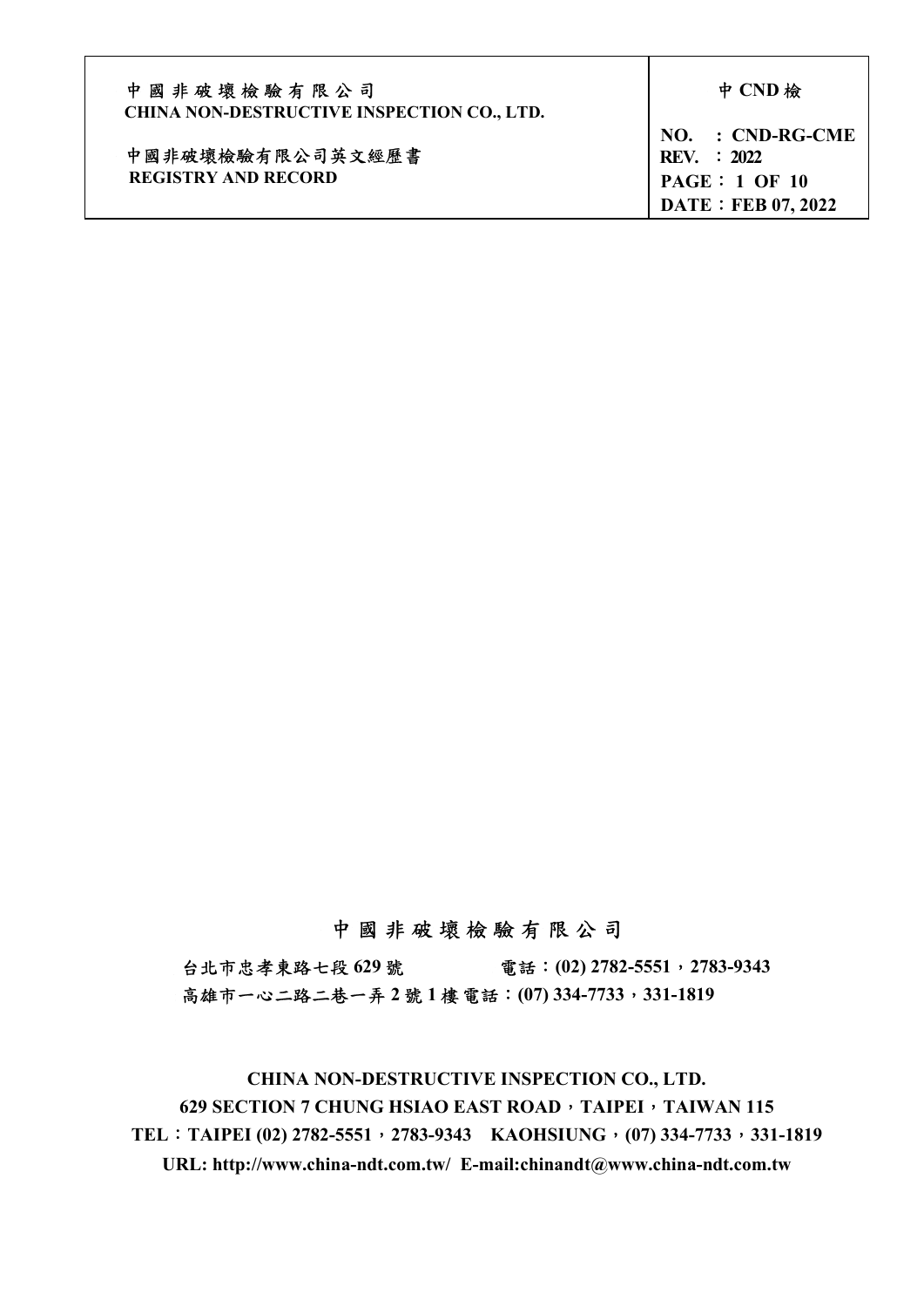| 中國非破壞檢驗有限公司<br><b>CHINA NON-DESTRUCTIVE INSPECTION CO., LTD.</b> | 中 CND 檢                                                                              |
|------------------------------------------------------------------|--------------------------------------------------------------------------------------|
| 中國非破壞檢驗有限公司英文經歷書<br><b>REGISTRY AND RECORD</b>                   | NO. : CND-RG-CME<br><b>REV.</b> : 2022<br>PAGE: 1 OF 10<br><b>DATE: FEB 07, 2022</b> |

# 中 國 非 破 壞 檢 驗 有 限 公 司

台北市忠孝東路七段 629號 電話: (02) 2782-5551, 2783-9343 高雄市一心二路二巷一弄 2 號 1 樓 電話: (07) 334-7733, 331-1819

CHINA NON-DESTRUCTIVE INSPECTION CO., LTD. 629 SECTION 7 CHUNG HSIAO EAST ROAD, TAIPEI, TAIWAN 115 TEL: TAIPEI (02) 2782-5551, 2783-9343 KAOHSIUNG, (07) 334-7733, 331-1819 URL: http://www.china-ndt.com.tw/ E-mail:chinandt@www.china-ndt.com.tw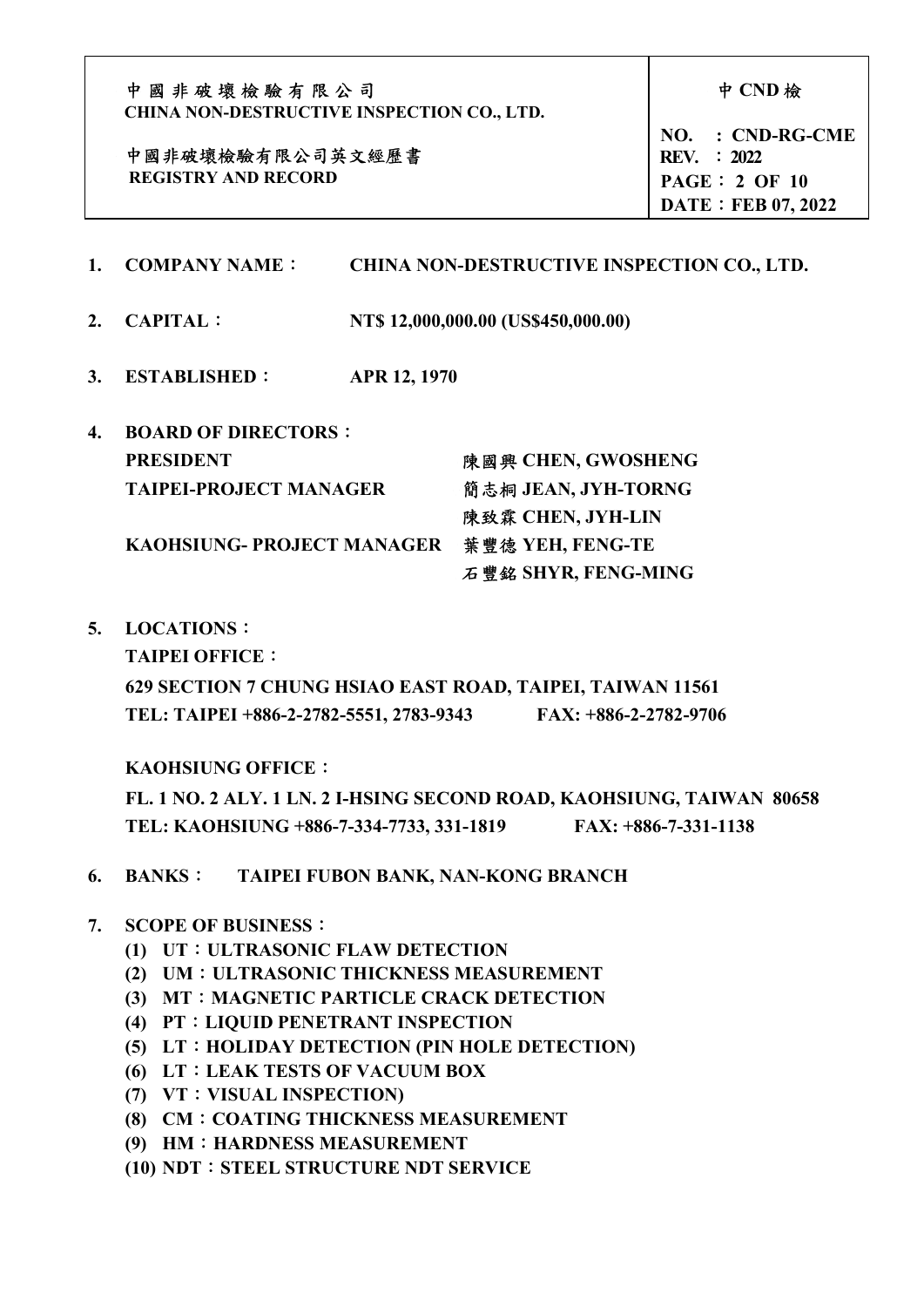| 中國非破壞檢驗有限公司<br><b>CHINA NON-DESTRUCTIVE INSPECTION CO., LTD.</b> | 中 CND 檢                                                                         |
|------------------------------------------------------------------|---------------------------------------------------------------------------------|
| 中國非破壞檢驗有限公司英文經歷書<br><b>REGISTRY AND RECORD</b>                   | $NO. : CND-RG-CME$<br>REV. : 2022<br>PAGE: 2 OF 10<br><b>DATE: FEB 07, 2022</b> |

- 1. COMPANY NAME: CHINA NON-DESTRUCTIVE INSPECTION CO., LTD.
- 2. CAPITAL: NT\$ 12,000,000.00 (US\$450,000.00)
- 3. ESTABLISHED: APR 12, 1970

| 4. | <b>BOARD OF DIRECTORS :</b>       |                     |
|----|-----------------------------------|---------------------|
|    | <b>PRESIDENT</b>                  | 陳國興 CHEN, GWOSHENG  |
|    | <b>TAIPEI-PROJECT MANAGER</b>     | 簡志桐 JEAN, JYH-TORNG |
|    |                                   | 陳致霖 CHEN, JYH-LIN   |
|    | <b>KAOHSIUNG- PROJECT MANAGER</b> | 葉 豐徳 YEH, FENG-TE   |
|    |                                   | 石豐銘 SHYR, FENG-MING |

5. LOCATIONS:

TAIPEI OFFICE:

 629 SECTION 7 CHUNG HSIAO EAST ROAD, TAIPEI, TAIWAN 11561 TEL: TAIPEI +886-2-2782-5551, 2783-9343 FAX: +886-2-2782-9706

KAOHSIUNG OFFICE:

 FL. 1 NO. 2 ALY. 1 LN. 2 I-HSING SECOND ROAD, KAOHSIUNG, TAIWAN 80658 TEL: KAOHSIUNG +886-7-334-7733, 331-1819 FAX: +886-7-331-1138

- 6. BANKS: TAIPEI FUBON BANK, NAN-KONG BRANCH
- 7. SCOPE OF BUSINESS:
	- (1) UT:ULTRASONIC FLAW DETECTION
	- (2) UM:ULTRASONIC THICKNESS MEASUREMENT
	- (3) MT: MAGNETIC PARTICLE CRACK DETECTION
	- (4) PT:LIQUID PENETRANT INSPECTION
	- (5) LT:HOLIDAY DETECTION (PIN HOLE DETECTION)
	- (6) LT:LEAK TESTS OF VACUUM BOX
	- (7) VT:VISUAL INSPECTION)
	- (8) CM:COATING THICKNESS MEASUREMENT
	- (9) HM: HARDNESS MEASUREMENT
	- (10) NDT:STEEL STRUCTURE NDT SERVICE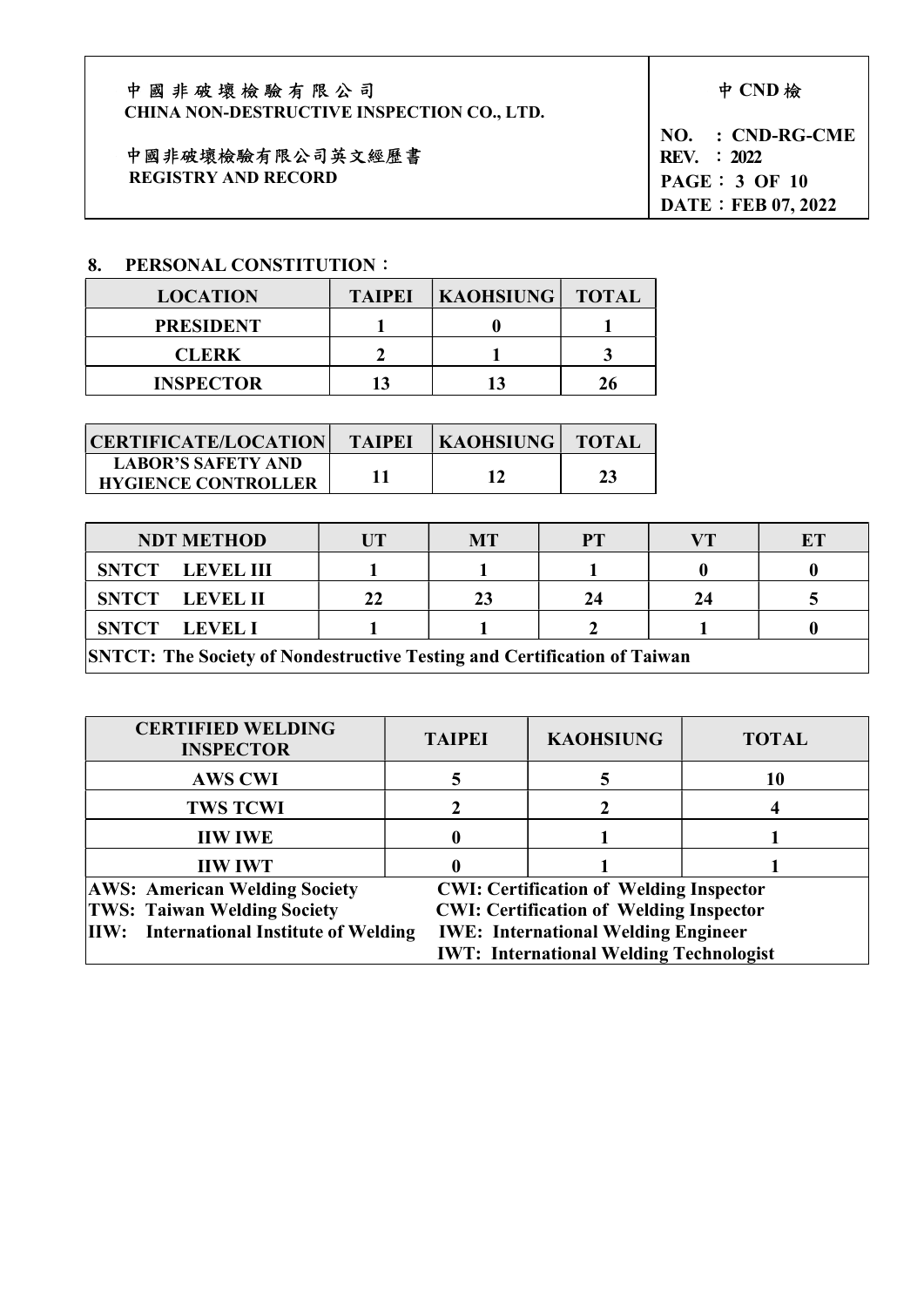| 中國非破壞檢驗有限公司                                       | 中 CND 檢            |
|---------------------------------------------------|--------------------|
| <b>CHINA NON-DESTRUCTIVE INSPECTION CO., LTD.</b> |                    |
|                                                   | $NO. : CND-RG$     |
| 中國非破壞檢驗有限公司英文經歷書                                  | <b>REV.</b> : 2022 |

REGISTRY AND RECORD

 $-CME$ PAGE: 3 OF 10 DATE: FEB 07, 2022

 $\overline{\phantom{a}}$ 

# 8. PERSONAL CONSTITUTION:

| <b>LOCATION</b>  | <b>TAIPEI</b> | <b>KAOHSIUNG   TOTAL</b> |  |
|------------------|---------------|--------------------------|--|
| <b>PRESIDENT</b> |               |                          |  |
| <b>CLERK</b>     |               |                          |  |
| <b>INSPECTOR</b> |               |                          |  |

| CERTIFICATE/LOCATION                                    | <b>TAIPEI</b> | <b>KAOHSIUNG   TOTAL</b> |  |
|---------------------------------------------------------|---------------|--------------------------|--|
| <b>LABOR'S SAFETY AND</b><br><b>HYGIENCE CONTROLLER</b> |               |                          |  |

| <b>NDT METHOD</b>                                                                |  | МT | PТ |  | ET |
|----------------------------------------------------------------------------------|--|----|----|--|----|
| <b>SNTCT</b> LEVEL III                                                           |  |    |    |  |    |
| SNTCT LEVEL II                                                                   |  |    | 24 |  |    |
| SNTCT LEVEL I                                                                    |  |    |    |  |    |
| <b>SNTCT</b> . The Seciety of Nondestructive Testing and Cortification of Toiwen |  |    |    |  |    |

SNTCT: The Society of Nondestructive Testing and Certification of Taiwan

| <b>CERTIFIED WELDING</b><br><b>INSPECTOR</b>   | <b>TAIPEI</b> | <b>KAOHSIUNG</b>                               | <b>TOTAL</b> |  |
|------------------------------------------------|---------------|------------------------------------------------|--------------|--|
| <b>AWS CWI</b>                                 |               |                                                | 10           |  |
| <b>TWS TCWI</b>                                |               |                                                |              |  |
| <b>IIW IWE</b>                                 |               |                                                |              |  |
| <b>IIW IWT</b>                                 |               |                                                |              |  |
| <b>AWS: American Welding Society</b>           |               | <b>CWI: Certification of Welding Inspector</b> |              |  |
| <b>TWS: Taiwan Welding Society</b>             |               | <b>CWI: Certification of Welding Inspector</b> |              |  |
| <b>IIW:</b> International Institute of Welding |               | <b>IWE: International Welding Engineer</b>     |              |  |
|                                                |               | <b>IWT: International Welding Technologist</b> |              |  |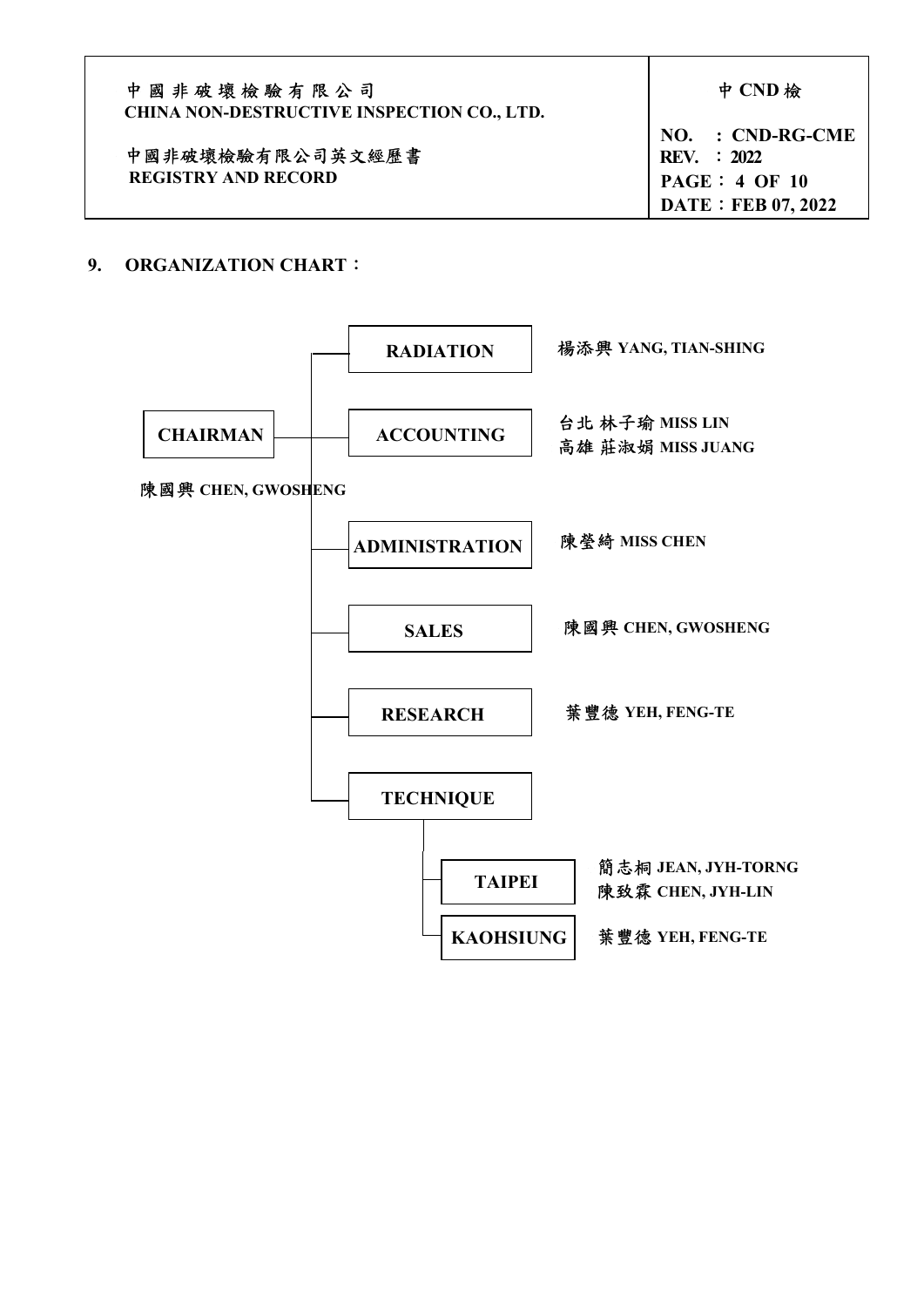| 中國非破壞檢驗有限公司<br><b>CHINA NON-DESTRUCTIVE INSPECTION CO., LTD.</b> | 中 CND 檢                           |
|------------------------------------------------------------------|-----------------------------------|
| 中國非破壞檢驗有限公司英文經歷書                                                 | $NO. : CND-RG-CME$<br>REV. : 2022 |
| <b>REGISTRY AND RECORD</b>                                       | PAGE: 4 OF 10                     |
|                                                                  | <b>DATE: FEB 07, 2022</b>         |

## 9. ORGANIZATION CHART:

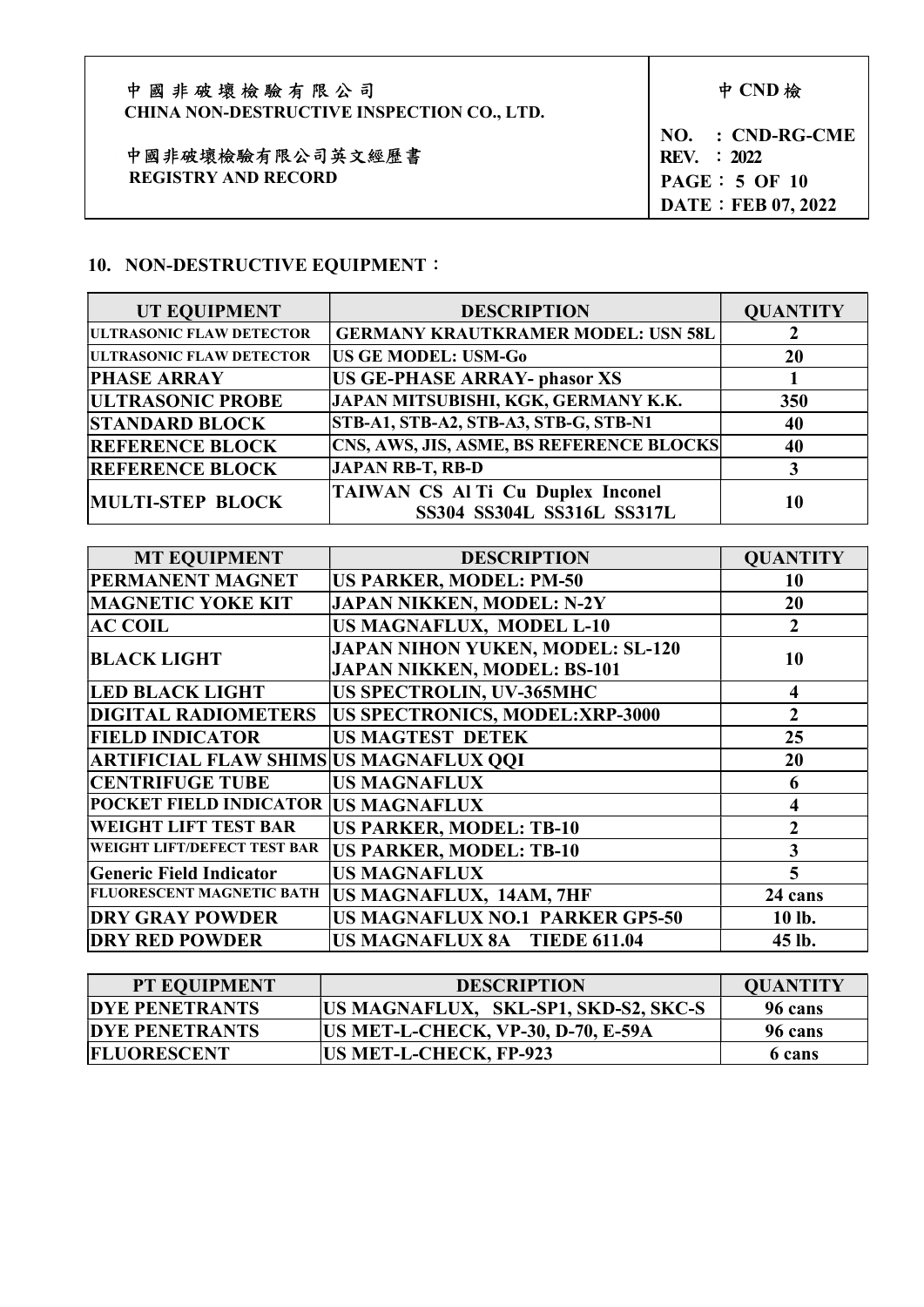| 中國非破壞檢驗有限公司<br><b>CHINA NON-DESTRUCTIVE INSPECTION CO., LTD.</b> | 中 CND 檢                           |
|------------------------------------------------------------------|-----------------------------------|
| 中國非破壞檢驗有限公司英文經歷書                                                 | $NO. : CND-RG-CME$<br>REV. : 2022 |
| <b>REGISTRY AND RECORD</b>                                       | PAGE: 5 OF 10                     |
|                                                                  | <b>DATE: FEB 07, 2022</b>         |

 $\mathbf{I}$ 

# 10. NON-DESTRUCTIVE EQUIPMENT:

| UT EQUIPMENT                     | <b>DESCRIPTION</b>                                              | <b>QUANTITY</b> |
|----------------------------------|-----------------------------------------------------------------|-----------------|
| <b>IULTRASONIC FLAW DETECTOR</b> | <b>GERMANY KRAUTKRAMER MODEL: USN 58L</b>                       |                 |
| <b>ULTRASONIC FLAW DETECTOR</b>  | <b>US GE MODEL: USM-Go</b>                                      | 20              |
| <b>PHASE ARRAY</b>               | <b>US GE-PHASE ARRAY- phasor XS</b>                             |                 |
| <b>ULTRASONIC PROBE</b>          | JAPAN MITSUBISHI, KGK, GERMANY K.K.                             | 350             |
| <b>STANDARD BLOCK</b>            | STB-A1, STB-A2, STB-A3, STB-G, STB-N1                           | 40              |
| <b>REFERENCE BLOCK</b>           | <b>CNS, AWS, JIS, ASME, BS REFERENCE BLOCKS</b>                 | 40              |
| <b>REFERENCE BLOCK</b>           | <b>JAPAN RB-T, RB-D</b>                                         |                 |
| MULTI-STEP BLOCK                 | TAIWAN CS Al Ti Cu Duplex Inconel<br>SS304 SS304L SS316L SS317L | 10              |

| <b>MT EQUIPMENT</b>                    | <b>DESCRIPTION</b>                                                            | <b>OUANTITY</b>  |
|----------------------------------------|-------------------------------------------------------------------------------|------------------|
| PERMANENT MAGNET                       | <b>US PARKER, MODEL: PM-50</b>                                                | 10               |
| <b>MAGNETIC YOKE KIT</b>               | <b>JAPAN NIKKEN, MODEL: N-2Y</b>                                              | 20               |
| <b>AC COIL</b>                         | <b>US MAGNAFLUX, MODEL L-10</b>                                               | $\boldsymbol{2}$ |
| <b>BLACK LIGHT</b>                     | <b>JAPAN NIHON YUKEN, MODEL: SL-120</b><br><b>JAPAN NIKKEN, MODEL: BS-101</b> | 10               |
| <b>LED BLACK LIGHT</b>                 | US SPECTROLIN, UV-365MHC                                                      | 4                |
| <b>DIGITAL RADIOMETERS</b>             | US SPECTRONICS, MODEL:XRP-3000                                                | $\overline{2}$   |
| <b>FIELD INDICATOR</b>                 | <b>US MAGTEST DETEK</b>                                                       | 25               |
| ARTIFICIAL FLAW SHIMS US MAGNAFLUX QQI |                                                                               | 20               |
| <b>CENTRIFUGE TUBE</b>                 | <b>US MAGNAFLUX</b>                                                           | 6                |
| POCKET FIELD INDICATOR  US MAGNAFLUX   |                                                                               | 4                |
| <b>WEIGHT LIFT TEST BAR</b>            | <b>US PARKER, MODEL: TB-10</b>                                                | $\overline{2}$   |
| WEIGHT LIFT/DEFECT TEST BAR            | <b>US PARKER, MODEL: TB-10</b>                                                | 3                |
| Generic Field Indicator                | <b>US MAGNAFLUX</b>                                                           | 5                |
| <b>FLUORESCENT MAGNETIC BATH</b>       | US MAGNAFLUX, 14AM, 7HF                                                       | 24 cans          |
| <b>DRY GRAY POWDER</b>                 | US MAGNAFLUX NO.1 PARKER GP5-50                                               | 10 lb.           |
| <b>DRY RED POWDER</b>                  | <b>US MAGNAFLUX 8A TIEDE 611.04</b>                                           | 45 lb.           |

| <b>PT EQUIPMENT</b>   | <b>DESCRIPTION</b>                        | <b>QUANTITY</b> |
|-----------------------|-------------------------------------------|-----------------|
| <b>DYE PENETRANTS</b> | US MAGNAFLUX, SKL-SP1, SKD-S2, SKC-S      | 96 cans         |
| <b>DYE PENETRANTS</b> | <b>US MET-L-CHECK, VP-30, D-70, E-59A</b> | 96 cans         |
| <b>FLUORESCENT</b>    | <b>US MET-L-CHECK, FP-923</b>             | 6 cans          |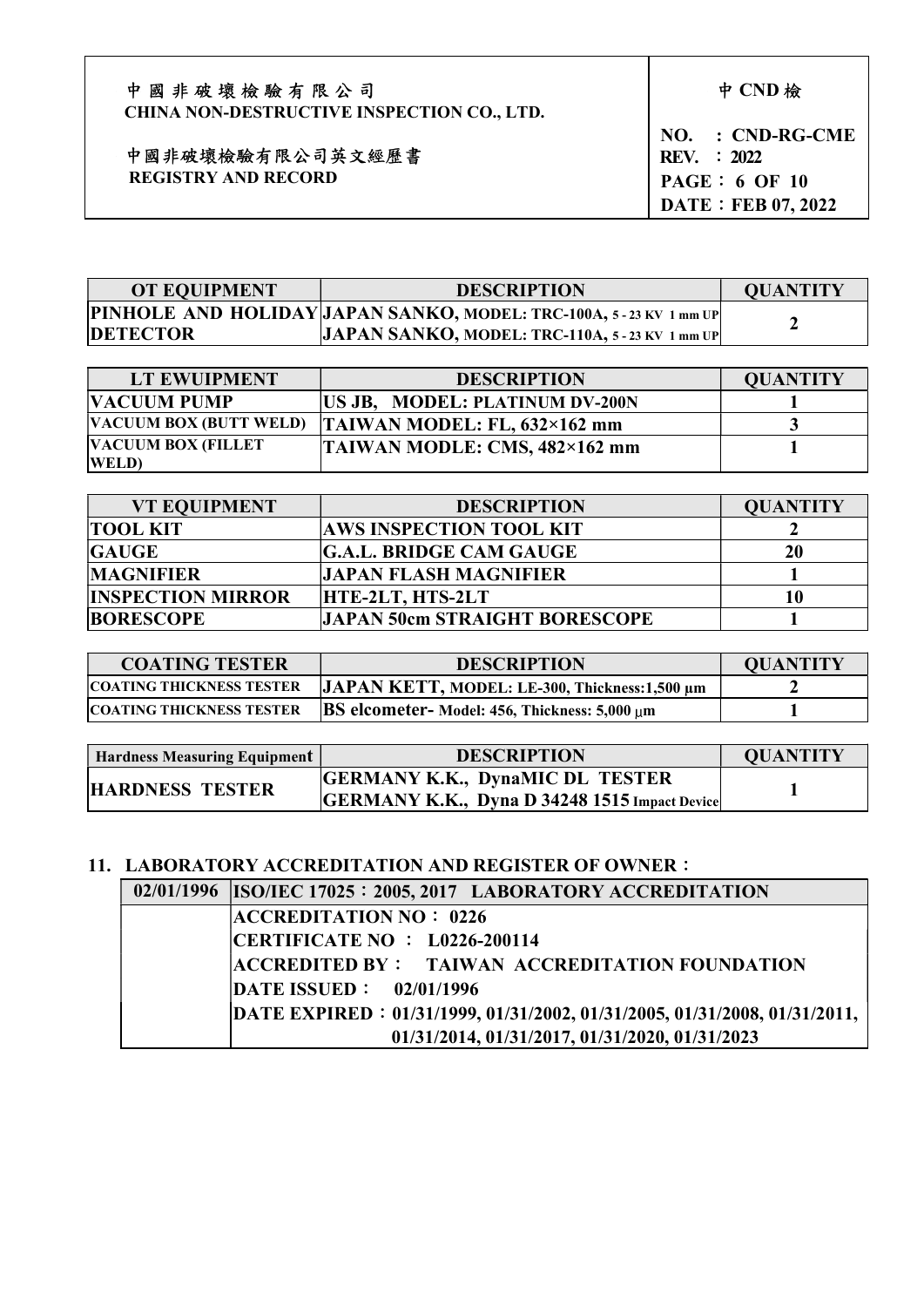| 中國非破壞檢驗有限公司                                       |  |
|---------------------------------------------------|--|
| <b>CHINA NON-DESTRUCTIVE INSPECTION CO., LTD.</b> |  |

 中國非破壞檢驗有限公司英文經歷書 REGISTRY AND RECORD

NO. : CND-RG-CME REV. : 2022 PAGE: 6 OF 10 DATE: FEB 07, 2022

| <b>OT EQUIPMENT</b> | <b>DESCRIPTION</b>                                                  | <b>QUANTITY</b> |
|---------------------|---------------------------------------------------------------------|-----------------|
|                     | PINHOLE AND HOLIDAY JAPAN SANKO, MODEL: TRC-100A, 5 - 23 KV 1 mm UP |                 |
| <b>DETECTOR</b>     | JAPAN SANKO, MODEL: TRC-110A, $5-23$ KV 1 mm UP                     |                 |

| LT EWUIPMENT                  | <b>DESCRIPTION</b>                  | <b>QUANTITY</b> |
|-------------------------------|-------------------------------------|-----------------|
| <b>VACUUM PUMP</b>            | US JB, MODEL: PLATINUM DV-200N      |                 |
| <b>VACUUM BOX (BUTT WELD)</b> | TAIWAN MODEL: FL, $632\times162$ mm |                 |
| <b>VACUUM BOX (FILLET</b>     | TAIWAN MODLE: CMS, 482×162 mm       |                 |
| <b>WELD</b>                   |                                     |                 |

| <b>VT EQUIPMENT</b>      | <b>DESCRIPTION</b>                   | <b>OUANTITY</b> |
|--------------------------|--------------------------------------|-----------------|
| <b>TOOL KIT</b>          | <b>AWS INSPECTION TOOL KIT</b>       |                 |
| <b>GAUGE</b>             | <b>G.A.L. BRIDGE CAM GAUGE</b>       | 20              |
| <b>MAGNIFIER</b>         | <b>JAPAN FLASH MAGNIFIER</b>         |                 |
| <b>INSPECTION MIRROR</b> | HTE-2LT, HTS-2LT                     | 10              |
| <b>BORESCOPE</b>         | <b>JAPAN 50cm STRAIGHT BORESCOPE</b> |                 |

| <b>COATING TESTER</b>           | <b>DESCRIPTION</b>                                   | <b>OUANTITY</b> |
|---------------------------------|------------------------------------------------------|-----------------|
| <b>COATING THICKNESS TESTER</b> | JAPAN KETT, MODEL: LE-300, Thickness: 1,500 µm       |                 |
| <b>COATING THICKNESS TESTER</b> | <b>BS</b> elcometer- Model: 456, Thickness: 5,000 µm |                 |

| <b>Hardness Measuring Equipment</b> | <b>DESCRIPTION</b>                                                                             | <b>QUANTITY</b> |
|-------------------------------------|------------------------------------------------------------------------------------------------|-----------------|
| <b>HARDNESS TESTER</b>              | <b>GERMANY K.K., DynaMIC DL TESTER</b><br><b>GERMANY K.K., Dyna D 34248 1515 Impact Device</b> |                 |

# 11. LABORATORY ACCREDITATION AND REGISTER OF OWNER:

| 02/01/1996 ISO/IEC 17025: 2005, 2017 LABORATORY ACCREDITATION             |
|---------------------------------------------------------------------------|
| <b>ACCREDITATION NO: 0226</b>                                             |
| CERTIFICATE NO : $L$ 0226-200114                                          |
| <b>ACCREDITED BY: TAIWAN ACCREDITATION FOUNDATION</b>                     |
| <b>DATE ISSUED: 02/01/1996</b>                                            |
| DATE EXPIRED: 01/31/1999, 01/31/2002, 01/31/2005, 01/31/2008, 01/31/2011, |
| 01/31/2014, 01/31/2017, 01/31/2020, 01/31/2023                            |

中 CND 檢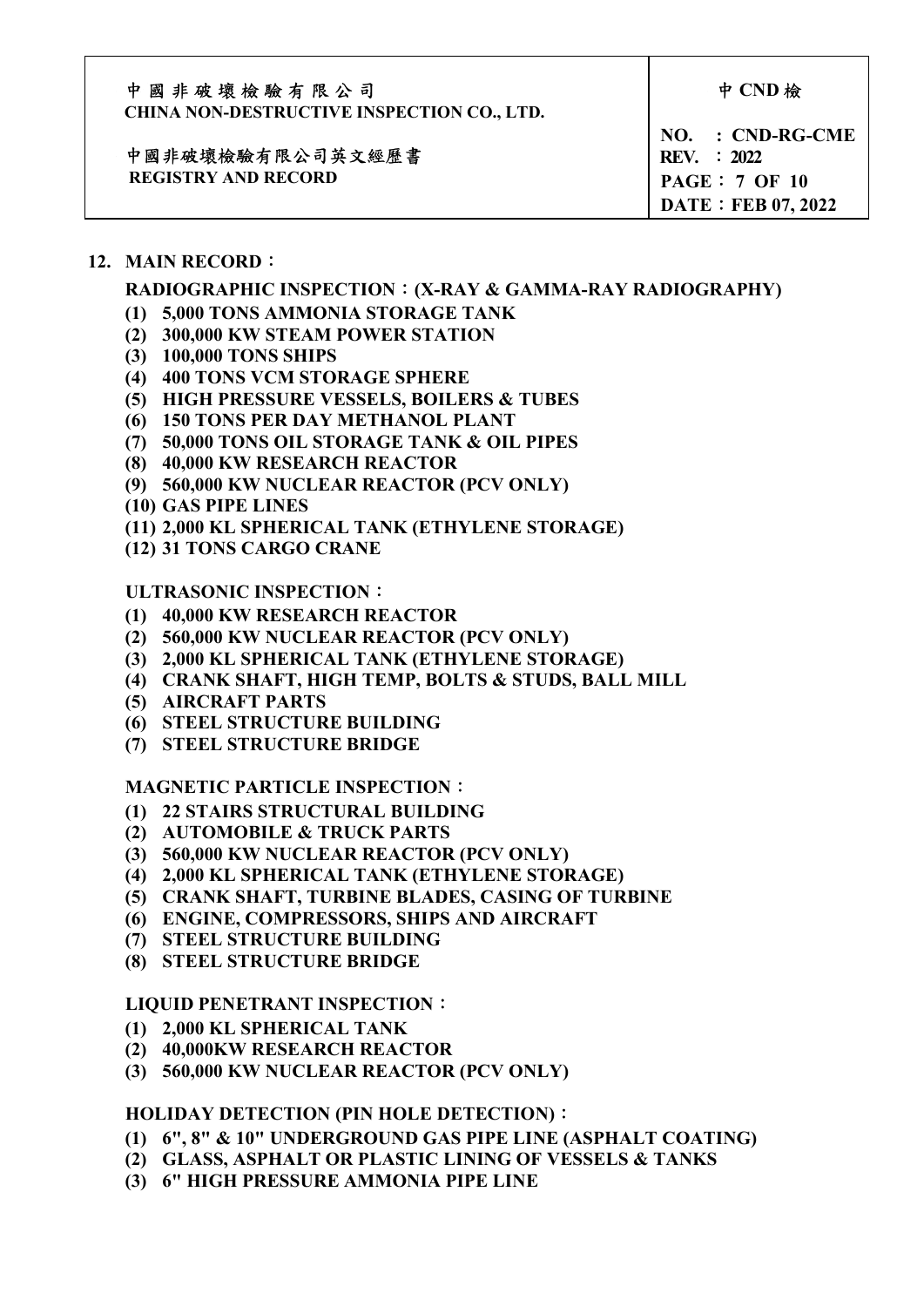| 中國非破壞檢驗有限公司                                       |  |
|---------------------------------------------------|--|
| <b>CHINA NON-DESTRUCTIVE INSPECTION CO., LTD.</b> |  |

中 CND 檢

#### 中國非破壞檢驗有限公司英文經歷書 REGISTRY AND RECORD

NO. : CND-RG-CME REV. : 2022 PAGE: 7 OF 10 DATE: FEB 07, 2022

## 12. MAIN RECORD:

## RADIOGRAPHIC INSPECTION:(X-RAY & GAMMA-RAY RADIOGRAPHY)

- (1) 5,000 TONS AMMONIA STORAGE TANK
- (2) 300,000 KW STEAM POWER STATION
- (3) 100,000 TONS SHIPS
- (4) 400 TONS VCM STORAGE SPHERE
- (5) HIGH PRESSURE VESSELS, BOILERS & TUBES
- (6) 150 TONS PER DAY METHANOL PLANT
- (7) 50,000 TONS OIL STORAGE TANK & OIL PIPES
- (8) 40,000 KW RESEARCH REACTOR
- (9) 560,000 KW NUCLEAR REACTOR (PCV ONLY)
- (10) GAS PIPE LINES
- (11) 2,000 KL SPHERICAL TANK (ETHYLENE STORAGE)
- (12) 31 TONS CARGO CRANE

### ULTRASONIC INSPECTION:

- (1) 40,000 KW RESEARCH REACTOR
- (2) 560,000 KW NUCLEAR REACTOR (PCV ONLY)
- (3) 2,000 KL SPHERICAL TANK (ETHYLENE STORAGE)
- (4) CRANK SHAFT, HIGH TEMP, BOLTS & STUDS, BALL MILL
- (5) AIRCRAFT PARTS
- (6) STEEL STRUCTURE BUILDING
- (7) STEEL STRUCTURE BRIDGE

#### MAGNETIC PARTICLE INSPECTION:

- (1) 22 STAIRS STRUCTURAL BUILDING
- (2) AUTOMOBILE & TRUCK PARTS
- (3) 560,000 KW NUCLEAR REACTOR (PCV ONLY)
- (4) 2,000 KL SPHERICAL TANK (ETHYLENE STORAGE)
- (5) CRANK SHAFT, TURBINE BLADES, CASING OF TURBINE
- (6) ENGINE, COMPRESSORS, SHIPS AND AIRCRAFT
- (7) STEEL STRUCTURE BUILDING
- (8) STEEL STRUCTURE BRIDGE

#### LIQUID PENETRANT INSPECTION:

- (1) 2,000 KL SPHERICAL TANK
- (2) 40,000KW RESEARCH REACTOR
- (3) 560,000 KW NUCLEAR REACTOR (PCV ONLY)

#### HOLIDAY DETECTION (PIN HOLE DETECTION):

- (1) 6", 8" & 10" UNDERGROUND GAS PIPE LINE (ASPHALT COATING)
- (2) GLASS, ASPHALT OR PLASTIC LINING OF VESSELS & TANKS
- (3) 6" HIGH PRESSURE AMMONIA PIPE LINE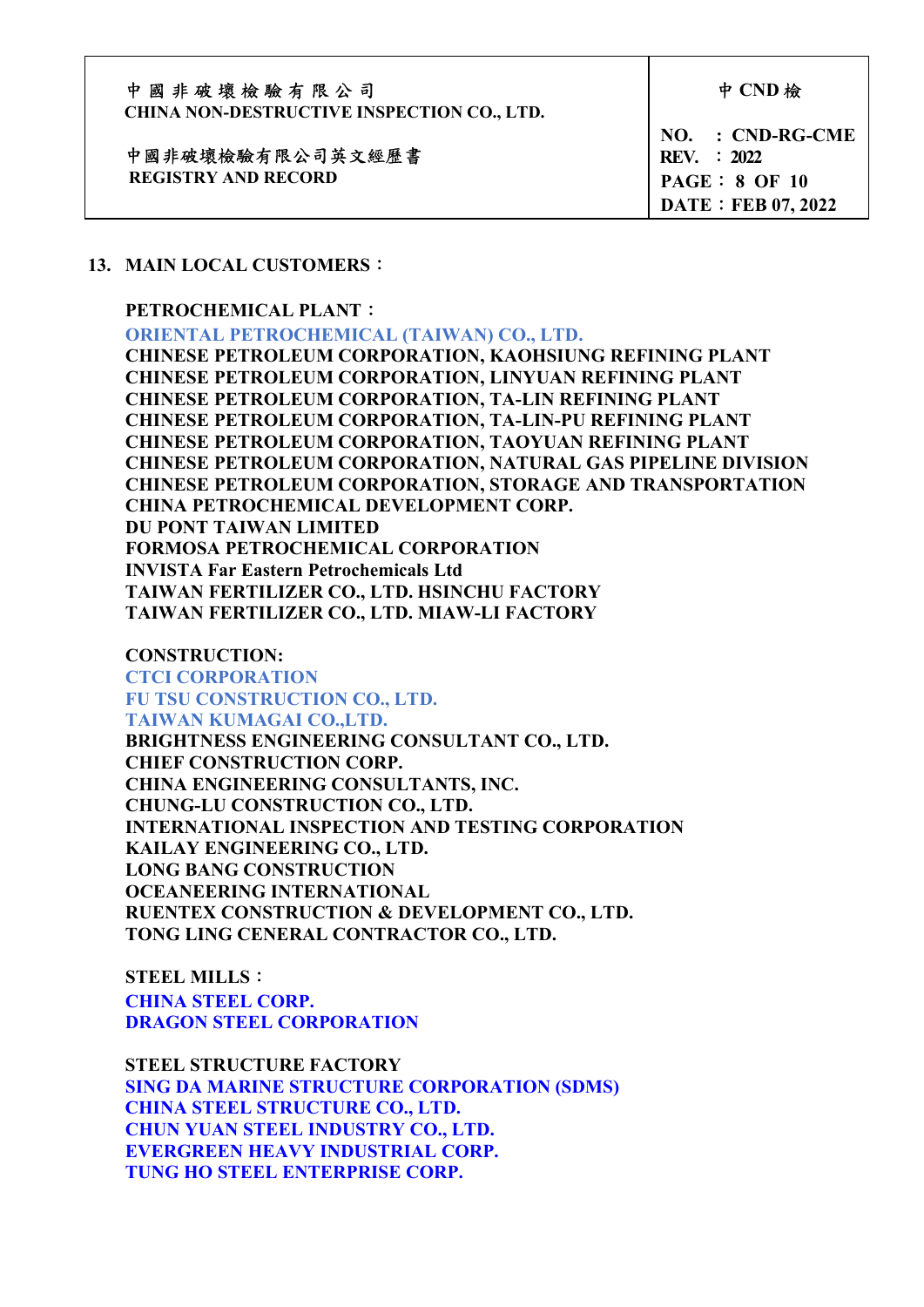| 中國非破壞檢驗有限公司<br><b>CHINA NON-DESTRUCTIVE INSPECTION CO., LTD.</b> | 中 CND 檢                                                                                        |
|------------------------------------------------------------------|------------------------------------------------------------------------------------------------|
| 中國非破壞檢驗有限公司英文經歷書<br><b>REGISTRY AND RECORD</b>                   | $NO. : CND-RG-CME$<br><b>REV.</b> : 2022<br><b>PAGE : 8 OF 10</b><br><b>DATE: FEB 07, 2022</b> |

#### 13. MAIN LOCAL CUSTOMERS:

#### PETROCHEMICAL PLANT:

ORIENTAL PETROCHEMICAL (TAIWAN) CO., LTD.

CHINESE PETROLEUM CORPORATION, KAOHSIUNG REFINING PLANT CHINESE PETROLEUM CORPORATION, LINYUAN REFINING PLANT CHINESE PETROLEUM CORPORATION, TA-LIN REFINING PLANT CHINESE PETROLEUM CORPORATION, TA-LIN-PU REFINING PLANT CHINESE PETROLEUM CORPORATION, TAOYUAN REFINING PLANT CHINESE PETROLEUM CORPORATION, NATURAL GAS PIPELINE DIVISION CHINESE PETROLEUM CORPORATION, STORAGE AND TRANSPORTATION CHINA PETROCHEMICAL DEVELOPMENT CORP. DU PONT TAIWAN LIMITED FORMOSA PETROCHEMICAL CORPORATION INVISTA Far Eastern Petrochemicals Ltd TAIWAN FERTILIZER CO., LTD. HSINCHU FACTORY TAIWAN FERTILIZER CO., LTD. MIAW-LI FACTORY

 CONSTRUCTION: CTCI CORPORATION FU TSU CONSTRUCTION CO., LTD. TAIWAN KUMAGAI CO.,LTD.

BRIGHTNESS ENGINEERING CONSULTANT CO., LTD. CHIEF CONSTRUCTION CORP. CHINA ENGINEERING CONSULTANTS, INC. CHUNG-LU CONSTRUCTION CO., LTD. INTERNATIONAL INSPECTION AND TESTING CORPORATION KAILAY ENGINEERING CO., LTD. LONG BANG CONSTRUCTION OCEANEERING INTERNATIONAL RUENTEX CONSTRUCTION & DEVELOPMENT CO., LTD. TONG LING CENERAL CONTRACTOR CO., LTD.

 STEEL MILLS: CHINA STEEL CORP. DRAGON STEEL CORPORATION

STEEL STRUCTURE FACTORY SING DA MARINE STRUCTURE CORPORATION (SDMS) CHINA STEEL STRUCTURE CO., LTD. CHUN YUAN STEEL INDUSTRY CO., LTD. EVERGREEN HEAVY INDUSTRIAL CORP. TUNG HO STEEL ENTERPRISE CORP.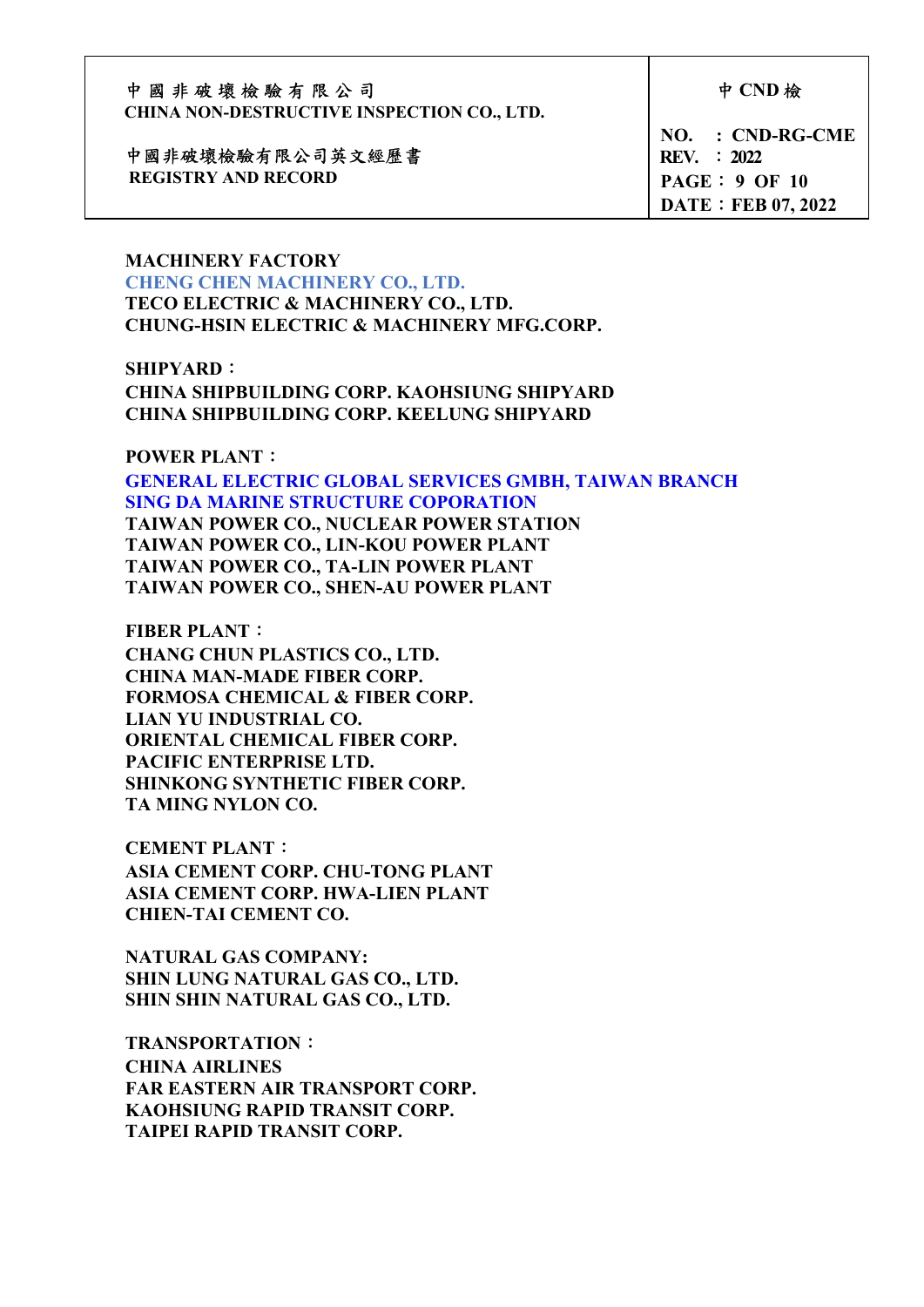| 中國非破壞檢驗有限公司<br><b>CHINA NON-DESTRUCTIVE INSPECTION CO., LTD.</b> | 中 CND 檢                           |
|------------------------------------------------------------------|-----------------------------------|
| 中國非破壞檢驗有限公司英文經歷書                                                 | $NO. : CND-RG-CME$<br>REV. : 2022 |
| <b>REGISTRY AND RECORD</b>                                       | PAGE: 9 OF 10                     |
|                                                                  | <b>DATE: FEB 07, 2022</b>         |

#### MACHINERY FACTORY CHENG CHEN MACHINERY CO., LTD.

TECO ELECTRIC & MACHINERY CO., LTD. CHUNG-HSIN ELECTRIC & MACHINERY MFG.CORP.

### SHIPYARD:

 CHINA SHIPBUILDING CORP. KAOHSIUNG SHIPYARD CHINA SHIPBUILDING CORP. KEELUNG SHIPYARD

#### POWER PLANT:

 GENERAL ELECTRIC GLOBAL SERVICES GMBH, TAIWAN BRANCH SING DA MARINE STRUCTURE COPORATION TAIWAN POWER CO., NUCLEAR POWER STATION TAIWAN POWER CO., LIN-KOU POWER PLANT TAIWAN POWER CO., TA-LIN POWER PLANT TAIWAN POWER CO., SHEN-AU POWER PLANT

 FIBER PLANT: CHANG CHUN PLASTICS CO., LTD. CHINA MAN-MADE FIBER CORP. FORMOSA CHEMICAL & FIBER CORP. LIAN YU INDUSTRIAL CO. ORIENTAL CHEMICAL FIBER CORP. PACIFIC ENTERPRISE LTD. SHINKONG SYNTHETIC FIBER CORP. TA MING NYLON CO.

 CEMENT PLANT: ASIA CEMENT CORP. CHU-TONG PLANT ASIA CEMENT CORP. HWA-LIEN PLANT CHIEN-TAI CEMENT CO.

 NATURAL GAS COMPANY: SHIN LUNG NATURAL GAS CO., LTD. SHIN SHIN NATURAL GAS CO., LTD.

 TRANSPORTATION: CHINA AIRLINES FAR EASTERN AIR TRANSPORT CORP. KAOHSIUNG RAPID TRANSIT CORP. TAIPEI RAPID TRANSIT CORP.